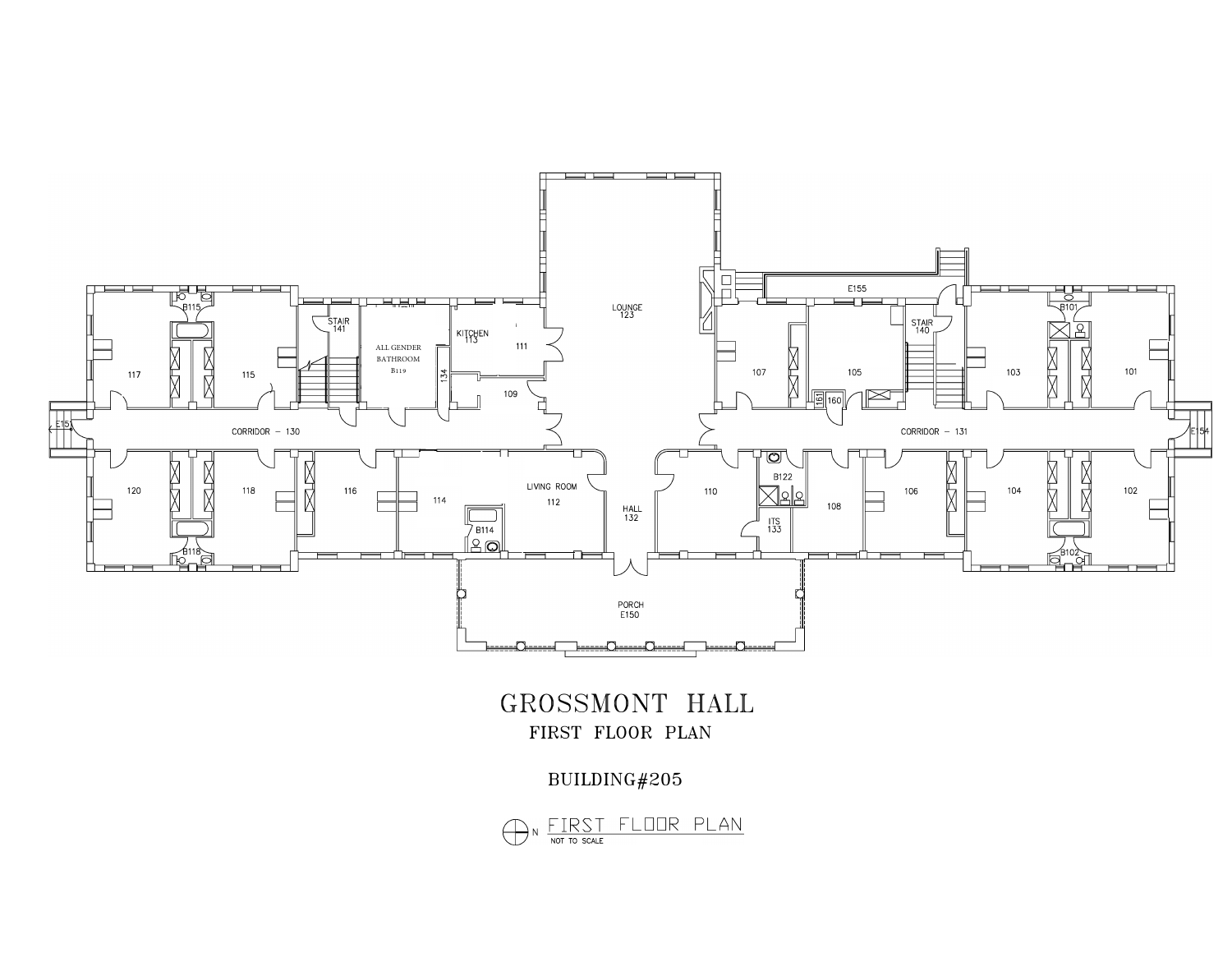

## BUILDING#205

GROSSMONT HALL FIRST FLOOR PLAN

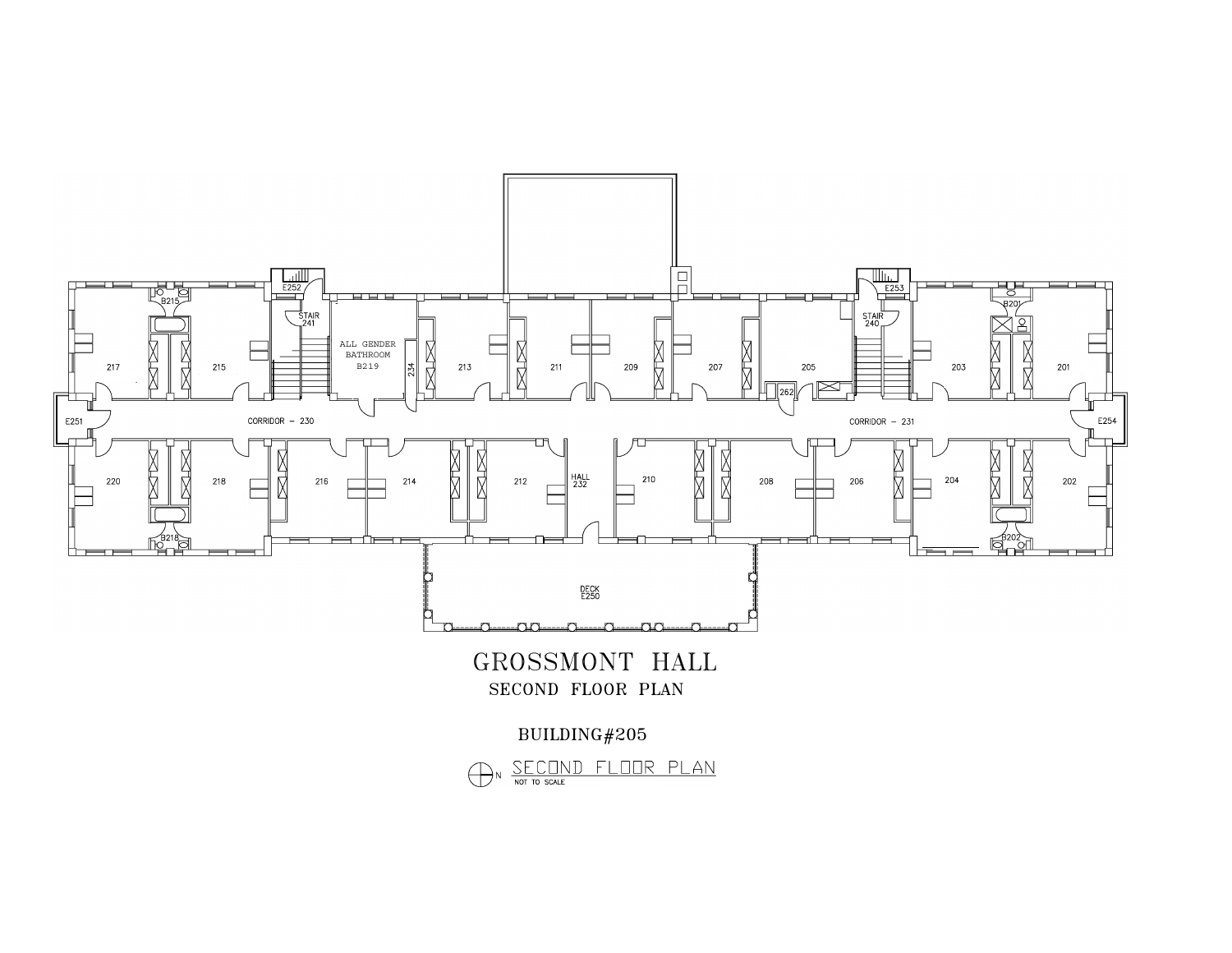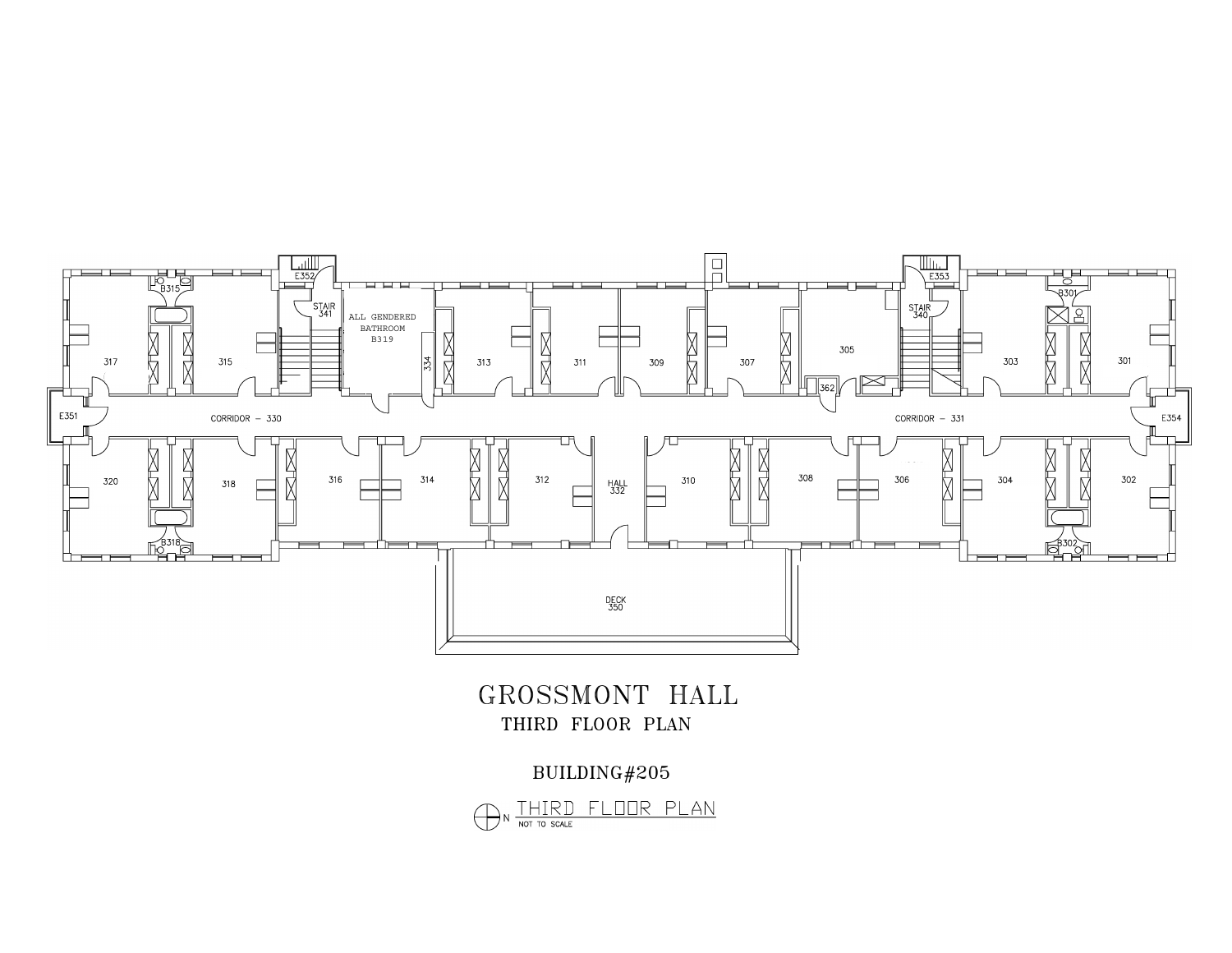

GROSSMONT HALL THIRD FLOOR PLAN

BUILDING#205